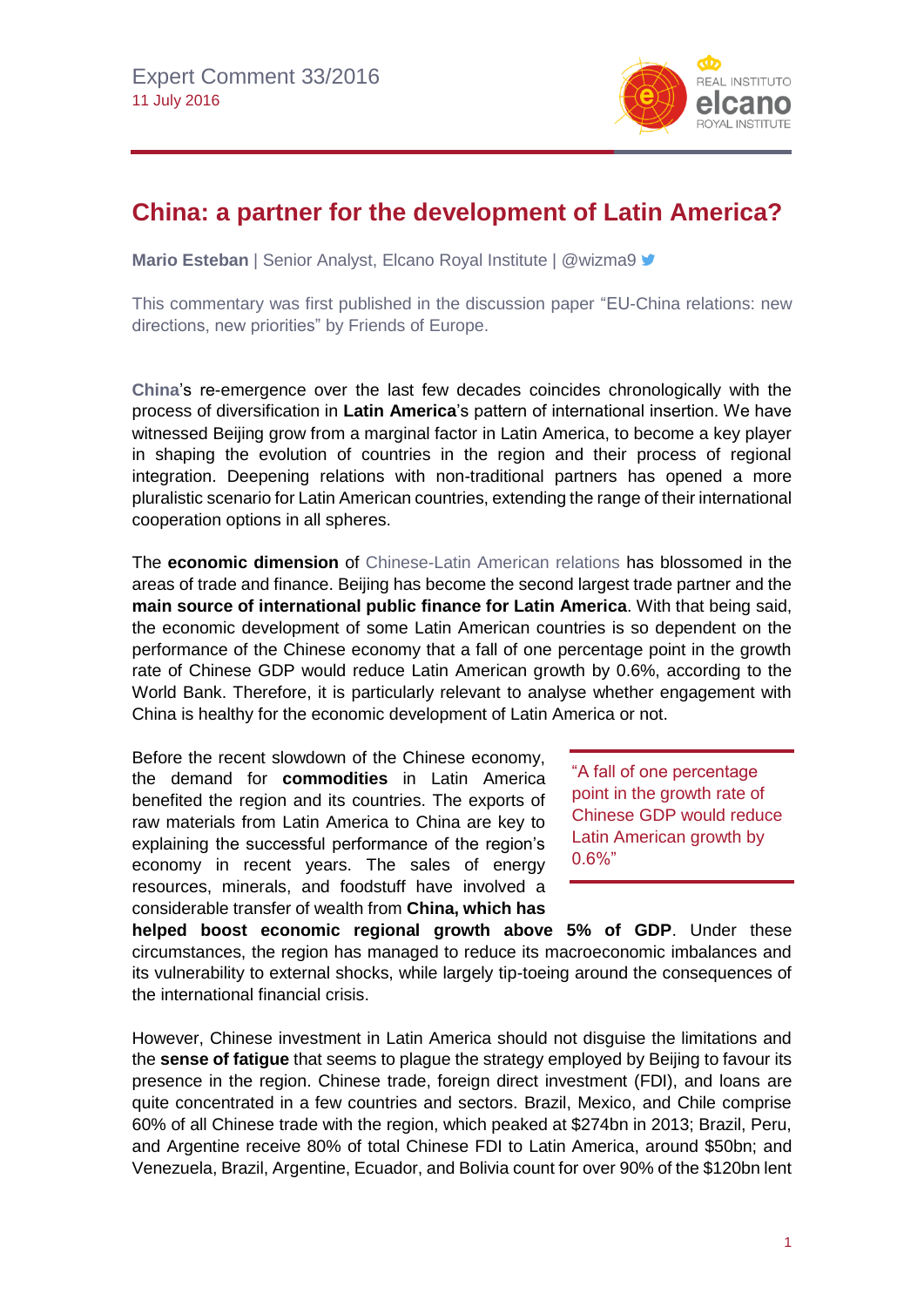

## **China: a partner for the development of Latin America?**

**Mario Esteban** | Senior Analyst, Elcano Royal Institute | @wizma9 <del>■</del>

This commentary was first published in the discussion paper ["EU-China relations: new](http://www.friendsofeurope.org/global-europe/eu-china-relations-new-directions-new-priorities/)  [directions, new priorities"](http://www.friendsofeurope.org/global-europe/eu-china-relations-new-directions-new-priorities/) by Friends of Europe.

**[China](http://www.blog.rielcano.org/en/tag/china/)**'s re-emergence over the last few decades coincides chronologically with the process of diversification in **Latin America**'s pattern of international insertion. We have witnessed Beijing grow from a marginal factor in Latin America, to become a key player in shaping the evolution of countries in the region and their process of regional integration. Deepening relations with non-traditional partners has opened a more pluralistic scenario for Latin American countries, extending the range of their international cooperation options in all spheres.

The **economic dimension** of [Chinese-Latin American relations](http://www.realinstitutoelcano.org/wps/portal/web/rielcano_en/contenido?WCM_GLOBAL_CONTEXT=/elcano/elcano_in/zonas_in/WP3-2015-Esteban-China-in-Latin-America-Repercussions-for-Spain) has blossomed in the areas of trade and finance. Beijing has become the second largest trade partner and the **main source of international public finance for Latin America**. With that being said, the economic development of some Latin American countries is so dependent on the performance of the Chinese economy that a fall of one percentage point in the growth rate of Chinese GDP would reduce Latin American growth by 0.6%, according to the World Bank. Therefore, it is particularly relevant to analyse whether engagement with China is healthy for the economic development of Latin America or not.

Before the recent slowdown of the Chinese economy, the demand for **commodities** in Latin America benefited the region and its countries. The exports of raw materials from Latin America to China are key to explaining the successful performance of the region's economy in recent years. The sales of energy resources, minerals, and foodstuff have involved a considerable transfer of wealth from **China, which has** 

"A fall of one percentage point in the growth rate of Chinese GDP would reduce Latin American growth by 0.6%"

**helped boost economic regional growth above 5% of GDP**. Under these circumstances, the region has managed to reduce its macroeconomic imbalances and its vulnerability to external shocks, while largely tip-toeing around the consequences of the international financial crisis.

However, Chinese investment in Latin America should not disguise the limitations and the **sense of fatigue** that seems to plague the strategy employed by Beijing to favour its presence in the region. Chinese trade, foreign direct investment (FDI), and loans are quite concentrated in a few countries and sectors. Brazil, Mexico, and Chile comprise 60% of all Chinese trade with the region, which peaked at \$274bn in 2013; Brazil, Peru, and Argentine receive 80% of total Chinese FDI to Latin America, around \$50bn; and Venezuela, Brazil, Argentine, Ecuador, and Bolivia count for over 90% of the \$120bn lent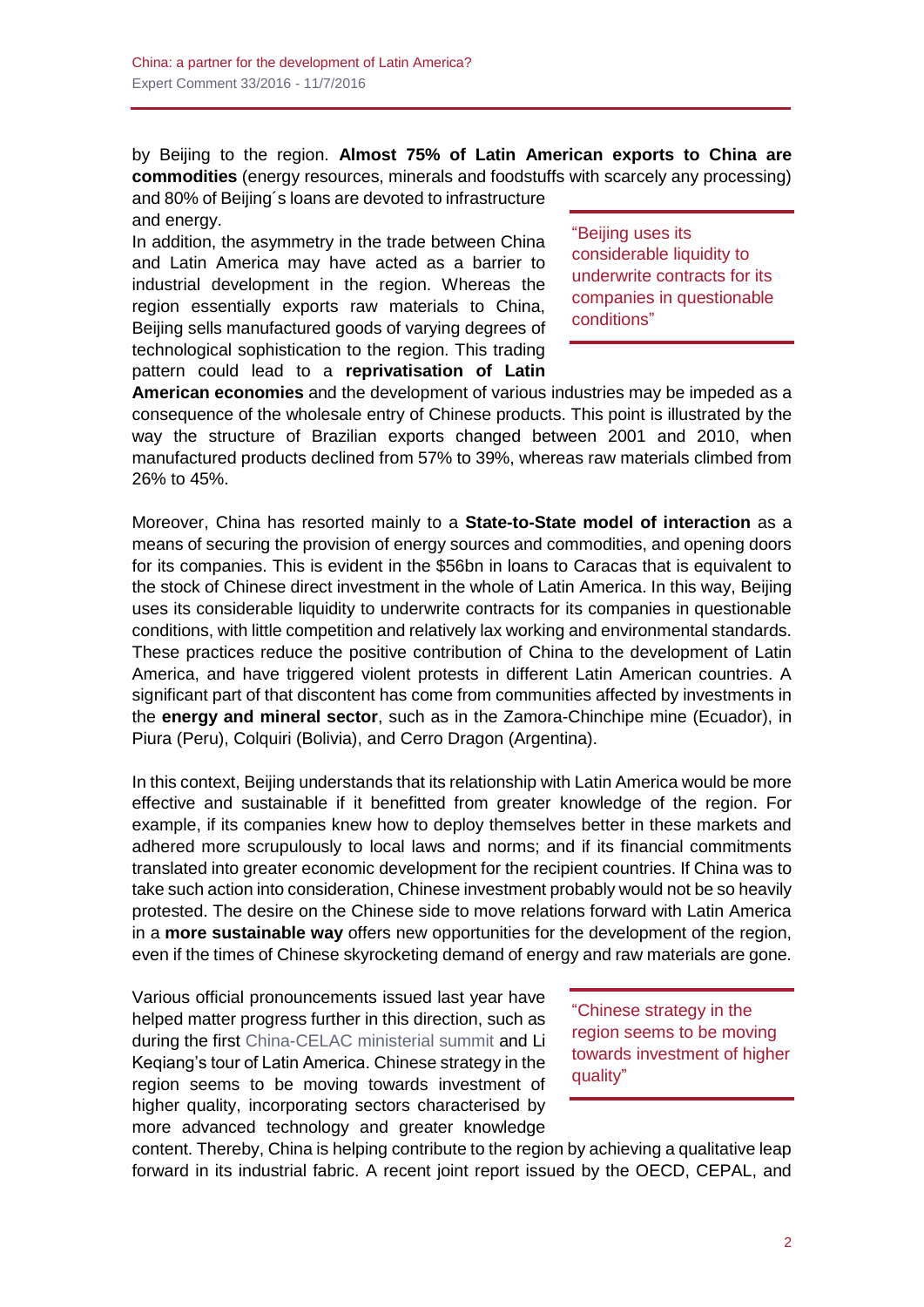by Beijing to the region. **Almost 75% of Latin American exports to China are commodities** (energy resources, minerals and foodstuffs with scarcely any processing)

and 80% of Beijing´s loans are devoted to infrastructure and energy.

In addition, the asymmetry in the trade between China and Latin America may have acted as a barrier to industrial development in the region. Whereas the region essentially exports raw materials to China, Beijing sells manufactured goods of varying degrees of technological sophistication to the region. This trading pattern could lead to a **reprivatisation of Latin**  "Beijing uses its considerable liquidity to underwrite contracts for its companies in questionable conditions"

**American economies** and the development of various industries may be impeded as a consequence of the wholesale entry of Chinese products. This point is illustrated by the way the structure of Brazilian exports changed between 2001 and 2010, when manufactured products declined from 57% to 39%, whereas raw materials climbed from 26% to 45%.

Moreover, China has resorted mainly to a **State-to-State model of interaction** as a means of securing the provision of energy sources and commodities, and opening doors for its companies. This is evident in the \$56bn in loans to Caracas that is equivalent to the stock of Chinese direct investment in the whole of Latin America. In this way, Beijing uses its considerable liquidity to underwrite contracts for its companies in questionable conditions, with little competition and relatively lax working and environmental standards. These practices reduce the positive contribution of China to the development of Latin America, and have triggered violent protests in different Latin American countries. A significant part of that discontent has come from communities affected by investments in the **energy and mineral sector**, such as in the Zamora-Chinchipe mine (Ecuador), in Piura (Peru), Colquiri (Bolivia), and Cerro Dragon (Argentina).

In this context, Beijing understands that its relationship with Latin America would be more effective and sustainable if it benefitted from greater knowledge of the region. For example, if its companies knew how to deploy themselves better in these markets and adhered more scrupulously to local laws and norms; and if its financial commitments translated into greater economic development for the recipient countries. If China was to take such action into consideration, Chinese investment probably would not be so heavily protested. The desire on the Chinese side to move relations forward with Latin America in a **more sustainable way** offers new opportunities for the development of the region, even if the times of Chinese skyrocketing demand of energy and raw materials are gone.

Various official pronouncements issued last year have helped matter progress further in this direction, such as during the first [China-CELAC ministerial summit](http://www.blog.rielcano.org/en/global-spectator-chinamerica/) and Li Keqiang's tour of Latin America. Chinese strategy in the region seems to be moving towards investment of higher quality, incorporating sectors characterised by more advanced technology and greater knowledge

"Chinese strategy in the region seems to be moving towards investment of higher quality"

content. Thereby, China is helping contribute to the region by achieving a qualitative leap forward in its industrial fabric. A recent joint report issued by the OECD, CEPAL, and